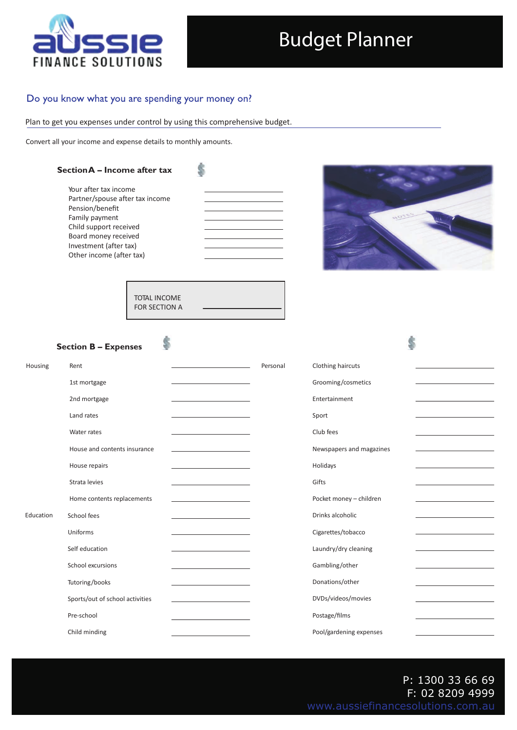

## Budget Planner

## Do you know what you are spending your money on?

Plan to get you expenses under control by using this comprehensive budget.

Convert all your income and expense details to monthly amounts.

Ś



TOTAL INCOME FOR SECTION A

## **Section B – Expenses**

| Housing   | Rent                            |                                                  | Personal | Clothing haircuts        |
|-----------|---------------------------------|--------------------------------------------------|----------|--------------------------|
|           | 1st mortgage                    |                                                  |          | Grooming/cosmetics       |
|           | 2nd mortgage                    |                                                  |          | Entertainment            |
| Education | Land rates                      |                                                  |          | Sport                    |
|           | Water rates                     |                                                  |          | Club fees                |
|           |                                 |                                                  |          |                          |
|           | House and contents insurance    | the control of the control of the control of     |          | Newspapers and magazines |
|           | House repairs                   |                                                  |          | Holidays                 |
|           | Strata levies                   |                                                  |          | Gifts                    |
|           | Home contents replacements      | the control of the control of the control of     |          | Pocket money - children  |
|           | School fees                     | the control of the control of the control of the |          | Drinks alcoholic         |
|           | Uniforms                        |                                                  |          | Cigarettes/tobacco       |
|           | Self education                  |                                                  |          | Laundry/dry cleaning     |
|           |                                 |                                                  |          |                          |
|           | School excursions               |                                                  |          | Gambling/other           |
|           | Tutoring/books                  | the control of the control of the control of the |          | Donations/other          |
|           | Sports/out of school activities |                                                  |          | DVDs/videos/movies       |
|           | Pre-school                      |                                                  |          | Postage/films            |
|           | Child minding                   |                                                  |          | Pool/gardening expenses  |